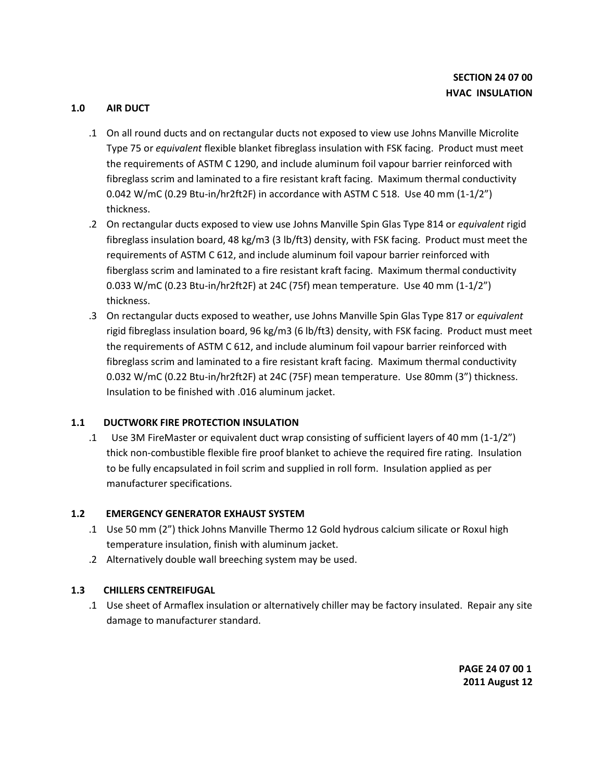## **1.0 AIR DUCT**

- .1 On all round ducts and on rectangular ducts not exposed to view use Johns Manville Microlite Type 75 or *equivalent* flexible blanket fibreglass insulation with FSK facing. Product must meet the requirements of ASTM C 1290, and include aluminum foil vapour barrier reinforced with fibreglass scrim and laminated to a fire resistant kraft facing. Maximum thermal conductivity 0.042 W/mC (0.29 Btu-in/hr2ft2F) in accordance with ASTM C 518. Use 40 mm (1-1/2") thickness.
- .2 On rectangular ducts exposed to view use Johns Manville Spin Glas Type 814 or *equivalent* rigid fibreglass insulation board, 48 kg/m3 (3 lb/ft3) density, with FSK facing. Product must meet the requirements of ASTM C 612, and include aluminum foil vapour barrier reinforced with fiberglass scrim and laminated to a fire resistant kraft facing. Maximum thermal conductivity 0.033 W/mC (0.23 Btu-in/hr2ft2F) at 24C (75f) mean temperature. Use 40 mm (1-1/2") thickness.
- .3 On rectangular ducts exposed to weather, use Johns Manville Spin Glas Type 817 or *equivalent*  rigid fibreglass insulation board, 96 kg/m3 (6 lb/ft3) density, with FSK facing. Product must meet the requirements of ASTM C 612, and include aluminum foil vapour barrier reinforced with fibreglass scrim and laminated to a fire resistant kraft facing. Maximum thermal conductivity 0.032 W/mC (0.22 Btu-in/hr2ft2F) at 24C (75F) mean temperature. Use 80mm (3") thickness. Insulation to be finished with .016 aluminum jacket.

# **1.1 DUCTWORK FIRE PROTECTION INSULATION**

.1 Use 3M FireMaster or equivalent duct wrap consisting of sufficient layers of 40 mm (1-1/2") thick non-combustible flexible fire proof blanket to achieve the required fire rating. Insulation to be fully encapsulated in foil scrim and supplied in roll form. Insulation applied as per manufacturer specifications.

### **1.2 EMERGENCY GENERATOR EXHAUST SYSTEM**

- .1 Use 50 mm (2") thick Johns Manville Thermo 12 Gold hydrous calcium silicate or Roxul high temperature insulation, finish with aluminum jacket.
- .2 Alternatively double wall breeching system may be used.

# **1.3 CHILLERS CENTREIFUGAL**

.1 Use sheet of Armaflex insulation or alternatively chiller may be factory insulated. Repair any site damage to manufacturer standard.

> **PAGE 24 07 00 1 2011 August 12**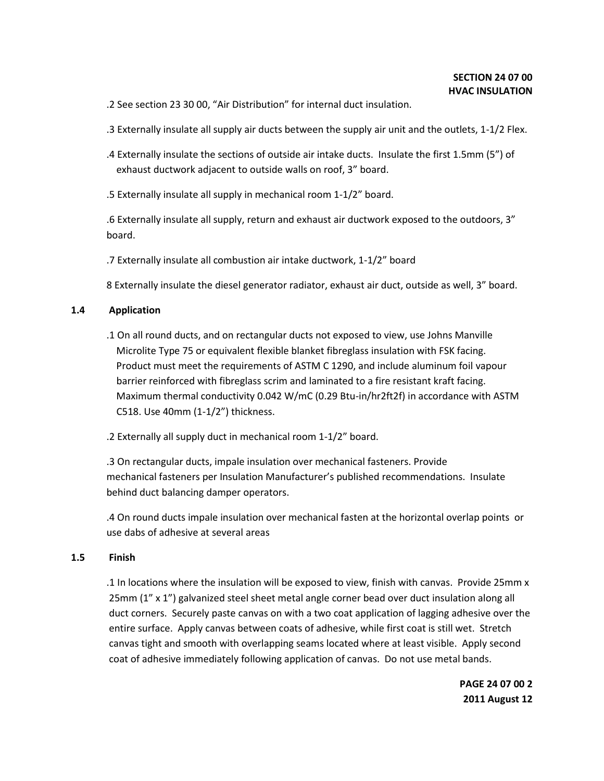.2 See section 23 30 00, "Air Distribution" for internal duct insulation.

.3 Externally insulate all supply air ducts between the supply air unit and the outlets, 1-1/2 Flex.

- .4 Externally insulate the sections of outside air intake ducts. Insulate the first 1.5mm (5") of exhaust ductwork adjacent to outside walls on roof, 3" board.
- .5 Externally insulate all supply in mechanical room 1-1/2" board.

.6 Externally insulate all supply, return and exhaust air ductwork exposed to the outdoors, 3" board.

.7 Externally insulate all combustion air intake ductwork, 1-1/2" board

8 Externally insulate the diesel generator radiator, exhaust air duct, outside as well, 3" board.

#### **1.4 Application**

.1 On all round ducts, and on rectangular ducts not exposed to view, use Johns Manville Microlite Type 75 or equivalent flexible blanket fibreglass insulation with FSK facing. Product must meet the requirements of ASTM C 1290, and include aluminum foil vapour barrier reinforced with fibreglass scrim and laminated to a fire resistant kraft facing. Maximum thermal conductivity 0.042 W/mC (0.29 Btu-in/hr2ft2f) in accordance with ASTM C518. Use 40mm (1-1/2") thickness.

.2 Externally all supply duct in mechanical room 1-1/2" board.

.3 On rectangular ducts, impale insulation over mechanical fasteners. Provide mechanical fasteners per Insulation Manufacturer's published recommendations. Insulate behind duct balancing damper operators.

.4 On round ducts impale insulation over mechanical fasten at the horizontal overlap points or use dabs of adhesive at several areas

#### **1.5 Finish**

.1 In locations where the insulation will be exposed to view, finish with canvas. Provide 25mm x 25mm (1" x 1") galvanized steel sheet metal angle corner bead over duct insulation along all duct corners. Securely paste canvas on with a two coat application of lagging adhesive over the entire surface. Apply canvas between coats of adhesive, while first coat is still wet. Stretch canvas tight and smooth with overlapping seams located where at least visible. Apply second coat of adhesive immediately following application of canvas. Do not use metal bands.

> **PAGE 24 07 00 2 2011 August 12**